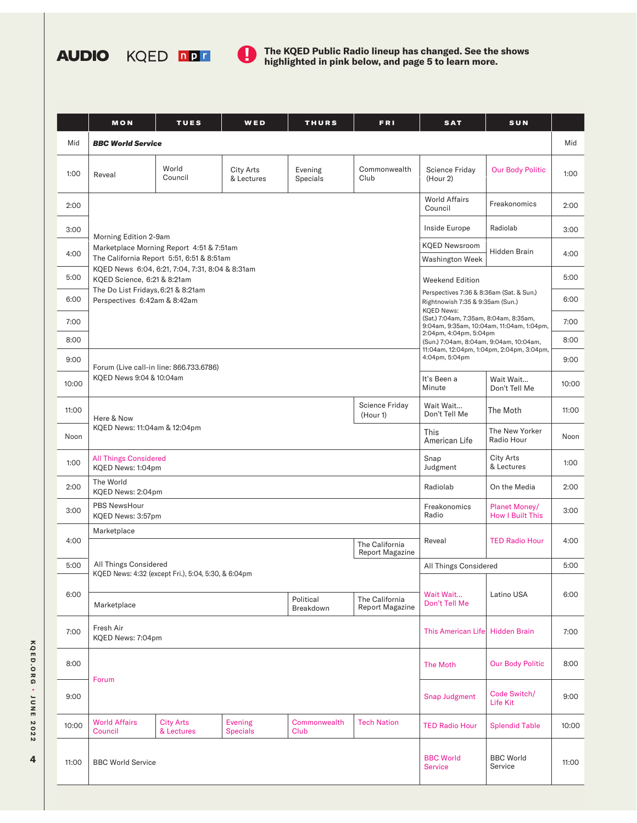



**AUDIO** KQED **DPT D** The KQED Public Radio lineup has changed. See the shows **highlighted in pink below, and page 5 to learn more.** 

|       | <b>MON</b>                                                                                                                                                                                                                                                             | <b>TUES</b>                    | WED                               | <b>THURS</b>         | <b>FRI</b>            | <b>SAT</b>                                                                                                                                                                                                                                                                                                                                             | SUN                                      |       |
|-------|------------------------------------------------------------------------------------------------------------------------------------------------------------------------------------------------------------------------------------------------------------------------|--------------------------------|-----------------------------------|----------------------|-----------------------|--------------------------------------------------------------------------------------------------------------------------------------------------------------------------------------------------------------------------------------------------------------------------------------------------------------------------------------------------------|------------------------------------------|-------|
| Mid   | <b>BBC World Service</b>                                                                                                                                                                                                                                               |                                |                                   |                      |                       |                                                                                                                                                                                                                                                                                                                                                        |                                          | Mid   |
| 1:00  | Reveal                                                                                                                                                                                                                                                                 | World<br>Council               | City Arts<br>& Lectures           | Evening<br>Specials  | Commonwealth<br>Club  | Science Friday<br>(Hour 2)                                                                                                                                                                                                                                                                                                                             | <b>Our Body Politic</b>                  | 1:00  |
| 2:00  |                                                                                                                                                                                                                                                                        |                                |                                   |                      |                       | <b>World Affairs</b><br>Council                                                                                                                                                                                                                                                                                                                        | Freakonomics                             | 2:00  |
| 3:00  | Morning Edition 2-9am<br>Marketplace Morning Report 4:51 & 7:51am<br>The California Report 5:51, 6:51 & 8:51am<br>KQED News 6:04, 6:21, 7:04, 7:31, 8:04 & 8:31am<br>KQED Science, 6:21 & 8:21am<br>The Do List Fridays, 6:21 & 8:21am<br>Perspectives 6:42am & 8:42am |                                |                                   |                      |                       | Inside Europe                                                                                                                                                                                                                                                                                                                                          | Radiolab                                 | 3:00  |
| 4:00  |                                                                                                                                                                                                                                                                        |                                |                                   |                      |                       | <b>KQED Newsroom</b><br>Hidden Brain<br><b>Washington Week</b>                                                                                                                                                                                                                                                                                         |                                          | 4:00  |
| 5:00  |                                                                                                                                                                                                                                                                        |                                |                                   |                      |                       | <b>Weekend Edition</b><br>Perspectives 7:36 & 8:36am (Sat. & Sun.)<br>Rightnowish 7:35 & 9:35am (Sun.)<br><b>KQED News:</b><br>(Sat.) 7:04am, 7:35am, 8:04am, 8:35am,<br>9:04am, 9:35am, 10:04am, 11:04am, 1:04pm,<br>2:04pm, 4:04pm, 5:04pm<br>(Sun.) 7:04am, 8:04am, 9:04am, 10:04am,<br>11:04am, 12:04pm, 1:04pm, 2:04pm, 3:04pm,<br>4:04pm, 5:04pm |                                          | 5:00  |
| 6:00  |                                                                                                                                                                                                                                                                        |                                |                                   |                      |                       |                                                                                                                                                                                                                                                                                                                                                        |                                          | 6:00  |
| 7:00  |                                                                                                                                                                                                                                                                        |                                |                                   |                      |                       |                                                                                                                                                                                                                                                                                                                                                        |                                          | 7:00  |
| 8:00  |                                                                                                                                                                                                                                                                        |                                |                                   |                      |                       |                                                                                                                                                                                                                                                                                                                                                        |                                          | 8:00  |
| 9:00  | Forum (Live call-in line: 866.733.6786)<br>KQED News 9:04 & 10:04am                                                                                                                                                                                                    |                                |                                   |                      |                       |                                                                                                                                                                                                                                                                                                                                                        |                                          | 9:00  |
| 10:00 |                                                                                                                                                                                                                                                                        |                                |                                   |                      |                       | It's Been a<br>Minute                                                                                                                                                                                                                                                                                                                                  | Wait Wait<br>Don't Tell Me               | 10:00 |
| 11:00 | <b>Science Friday</b><br>(Hour 1)<br>Here & Now<br>KQED News: 11:04am & 12:04pm                                                                                                                                                                                        |                                |                                   |                      |                       | Wait Wait<br>Don't Tell Me                                                                                                                                                                                                                                                                                                                             | The Moth                                 | 11:00 |
| Noon  |                                                                                                                                                                                                                                                                        |                                |                                   |                      |                       | This<br>American Life                                                                                                                                                                                                                                                                                                                                  | The New Yorker<br>Radio Hour             | Noon  |
| 1:00  | <b>All Things Considered</b><br>KQED News: 1:04pm                                                                                                                                                                                                                      |                                |                                   |                      |                       | Snap<br>Judgment                                                                                                                                                                                                                                                                                                                                       | City Arts<br>& Lectures                  | 1:00  |
| 2:00  | The World<br>KQED News: 2:04pm                                                                                                                                                                                                                                         |                                |                                   |                      |                       | Radiolab                                                                                                                                                                                                                                                                                                                                               | On the Media                             | 2:00  |
| 3:00  | PBS NewsHour<br>KQED News: 3:57pm                                                                                                                                                                                                                                      |                                |                                   |                      |                       | Freakonomics<br>Radio                                                                                                                                                                                                                                                                                                                                  | Planet Money/<br><b>How I Built This</b> | 3:00  |
| 4:00  | Marketplace                                                                                                                                                                                                                                                            |                                | The California                    | Reveal               | <b>TED Radio Hour</b> | 4:00                                                                                                                                                                                                                                                                                                                                                   |                                          |       |
| 5:00  | <b>Report Magazine</b><br>All Things Considered<br>KQED News: 4:32 (except Fri.), 5:04, 5:30, & 6:04pm<br>The California<br>Political<br>Marketplace<br><b>Report Magazine</b><br>Breakdown                                                                            |                                |                                   |                      |                       |                                                                                                                                                                                                                                                                                                                                                        |                                          | 5:00  |
|       |                                                                                                                                                                                                                                                                        |                                |                                   |                      |                       | All Things Considered<br>Wait Wait<br>Latino USA<br>Don't Tell Me                                                                                                                                                                                                                                                                                      |                                          |       |
| 6:00  |                                                                                                                                                                                                                                                                        |                                |                                   |                      |                       |                                                                                                                                                                                                                                                                                                                                                        |                                          | 6:00  |
| 7:00  | Fresh Air<br>KQED News: 7:04pm                                                                                                                                                                                                                                         |                                |                                   |                      |                       | This American Life                                                                                                                                                                                                                                                                                                                                     | <b>Hidden Brain</b>                      | 7:00  |
| 8:00  | Forum                                                                                                                                                                                                                                                                  |                                |                                   |                      |                       | The Moth                                                                                                                                                                                                                                                                                                                                               | <b>Our Body Politic</b>                  | 8:00  |
| 9:00  |                                                                                                                                                                                                                                                                        |                                |                                   |                      |                       | <b>Snap Judgment</b>                                                                                                                                                                                                                                                                                                                                   | Code Switch/<br>Life Kit                 | 9:00  |
| 10:00 | <b>World Affairs</b><br>Council                                                                                                                                                                                                                                        | <b>City Arts</b><br>& Lectures | <b>Evening</b><br><b>Specials</b> | Commonwealth<br>Club | <b>Tech Nation</b>    | <b>TED Radio Hour</b>                                                                                                                                                                                                                                                                                                                                  | <b>Splendid Table</b>                    | 10:00 |
| 11:00 | <b>BBC World Service</b>                                                                                                                                                                                                                                               |                                |                                   |                      |                       | <b>BBC World</b><br><b>Service</b>                                                                                                                                                                                                                                                                                                                     | <b>BBC World</b><br>Service              | 11:00 |